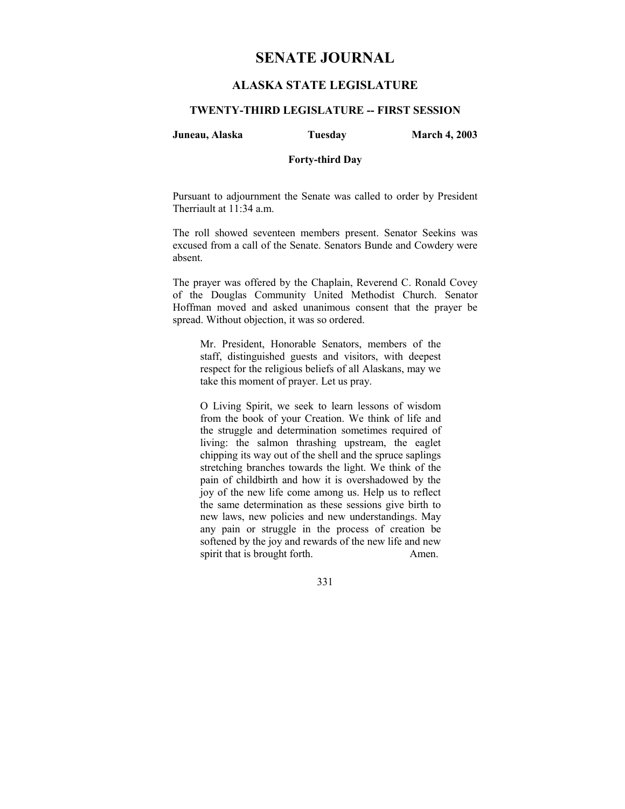# **SENATE JOURNAL**

## **ALASKA STATE LEGISLATURE**

#### **TWENTY-THIRD LEGISLATURE -- FIRST SESSION**

#### **Juneau, Alaska Tuesday March 4, 2003**

#### **Forty-third Day**

Pursuant to adjournment the Senate was called to order by President Therriault at 11:34 a.m.

The roll showed seventeen members present. Senator Seekins was excused from a call of the Senate. Senators Bunde and Cowdery were absent.

The prayer was offered by the Chaplain, Reverend C. Ronald Covey of the Douglas Community United Methodist Church. Senator Hoffman moved and asked unanimous consent that the prayer be spread. Without objection, it was so ordered.

Mr. President, Honorable Senators, members of the staff, distinguished guests and visitors, with deepest respect for the religious beliefs of all Alaskans, may we take this moment of prayer. Let us pray.

O Living Spirit, we seek to learn lessons of wisdom from the book of your Creation. We think of life and the struggle and determination sometimes required of living: the salmon thrashing upstream, the eaglet chipping its way out of the shell and the spruce saplings stretching branches towards the light. We think of the pain of childbirth and how it is overshadowed by the joy of the new life come among us. Help us to reflect the same determination as these sessions give birth to new laws, new policies and new understandings. May any pain or struggle in the process of creation be softened by the joy and rewards of the new life and new spirit that is brought forth. Amen.

331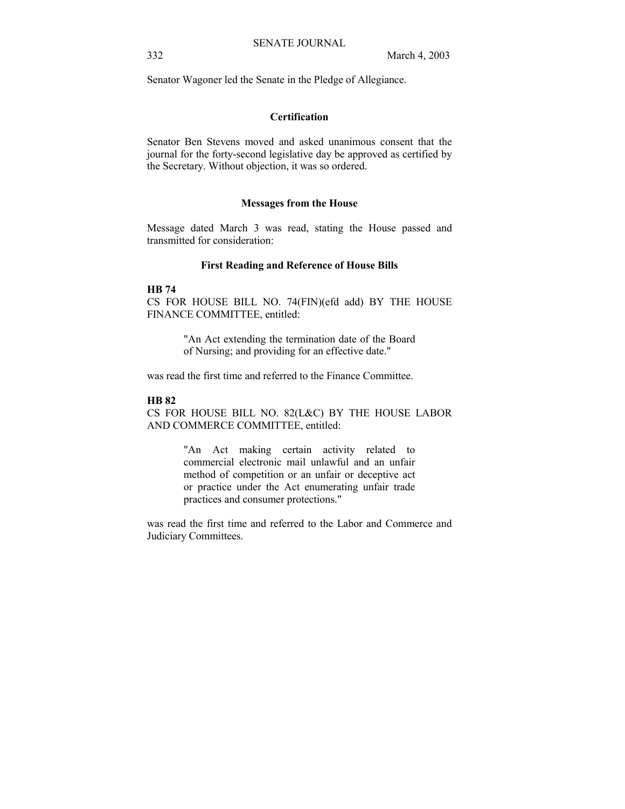Senator Wagoner led the Senate in the Pledge of Allegiance.

#### **Certification**

Senator Ben Stevens moved and asked unanimous consent that the journal for the forty-second legislative day be approved as certified by the Secretary. Without objection, it was so ordered.

#### **Messages from the House**

Message dated March 3 was read, stating the House passed and transmitted for consideration:

## **First Reading and Reference of House Bills**

#### **HB 74**

CS FOR HOUSE BILL NO. 74(FIN)(efd add) BY THE HOUSE FINANCE COMMITTEE, entitled:

> "An Act extending the termination date of the Board of Nursing; and providing for an effective date."

was read the first time and referred to the Finance Committee.

#### **HB 82**

CS FOR HOUSE BILL NO. 82(L&C) BY THE HOUSE LABOR AND COMMERCE COMMITTEE, entitled:

> "An Act making certain activity related to commercial electronic mail unlawful and an unfair method of competition or an unfair or deceptive act or practice under the Act enumerating unfair trade practices and consumer protections."

was read the first time and referred to the Labor and Commerce and Judiciary Committees.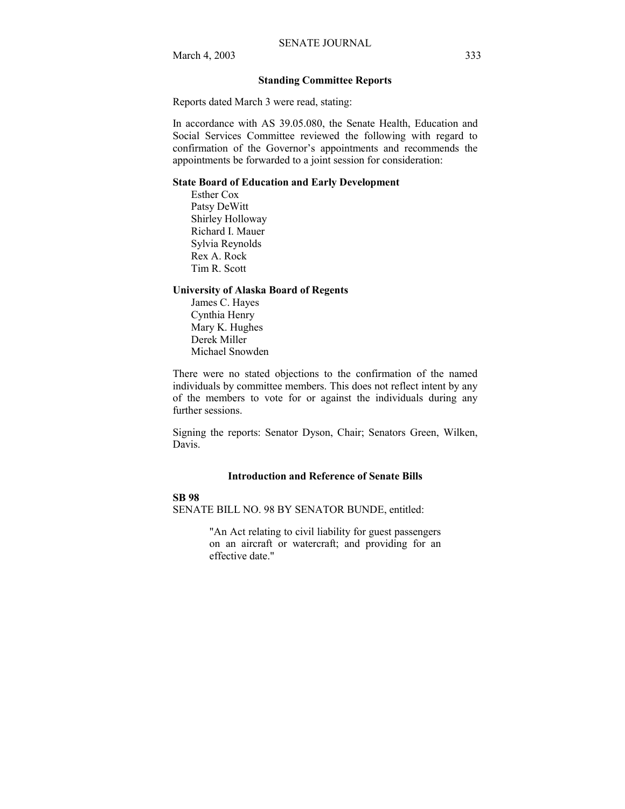#### **Standing Committee Reports**

Reports dated March 3 were read, stating:

In accordance with AS 39.05.080, the Senate Health, Education and Social Services Committee reviewed the following with regard to confirmation of the Governor's appointments and recommends the appointments be forwarded to a joint session for consideration:

#### **State Board of Education and Early Development**

Esther Cox Patsy DeWitt Shirley Holloway Richard I. Mauer Sylvia Reynolds Rex A. Rock Tim R. Scott

#### **University of Alaska Board of Regents**

James C. Hayes Cynthia Henry Mary K. Hughes Derek Miller Michael Snowden

There were no stated objections to the confirmation of the named individuals by committee members. This does not reflect intent by any of the members to vote for or against the individuals during any further sessions.

Signing the reports: Senator Dyson, Chair; Senators Green, Wilken, Davis.

#### **Introduction and Reference of Senate Bills**

#### **SB 98**

SENATE BILL NO. 98 BY SENATOR BUNDE, entitled:

"An Act relating to civil liability for guest passengers on an aircraft or watercraft; and providing for an effective date."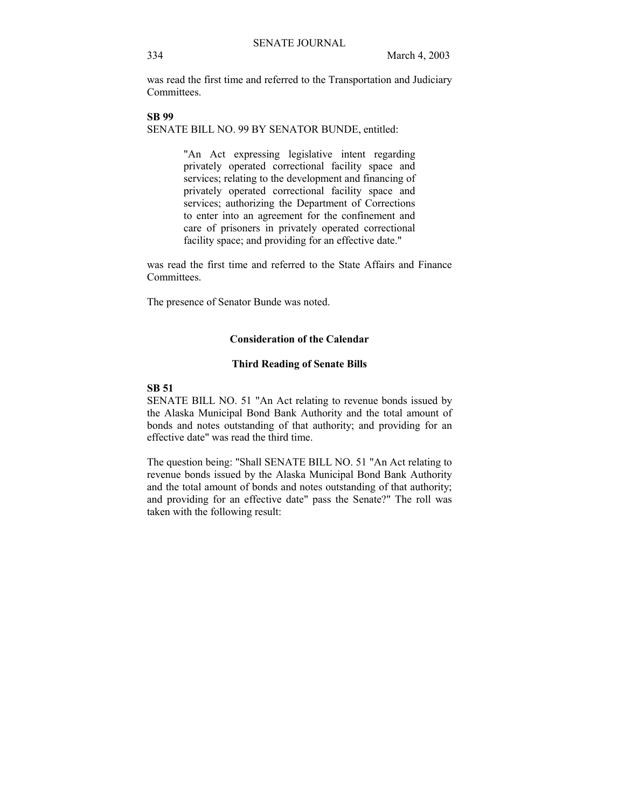was read the first time and referred to the Transportation and Judiciary **Committees** 

**SB 99**  SENATE BILL NO. 99 BY SENATOR BUNDE, entitled:

> "An Act expressing legislative intent regarding privately operated correctional facility space and services; relating to the development and financing of privately operated correctional facility space and services; authorizing the Department of Corrections to enter into an agreement for the confinement and care of prisoners in privately operated correctional facility space; and providing for an effective date."

was read the first time and referred to the State Affairs and Finance Committees.

The presence of Senator Bunde was noted.

#### **Consideration of the Calendar**

#### **Third Reading of Senate Bills**

#### **SB 51**

SENATE BILL NO. 51 "An Act relating to revenue bonds issued by the Alaska Municipal Bond Bank Authority and the total amount of bonds and notes outstanding of that authority; and providing for an effective date" was read the third time.

The question being: "Shall SENATE BILL NO. 51 "An Act relating to revenue bonds issued by the Alaska Municipal Bond Bank Authority and the total amount of bonds and notes outstanding of that authority; and providing for an effective date" pass the Senate?" The roll was taken with the following result: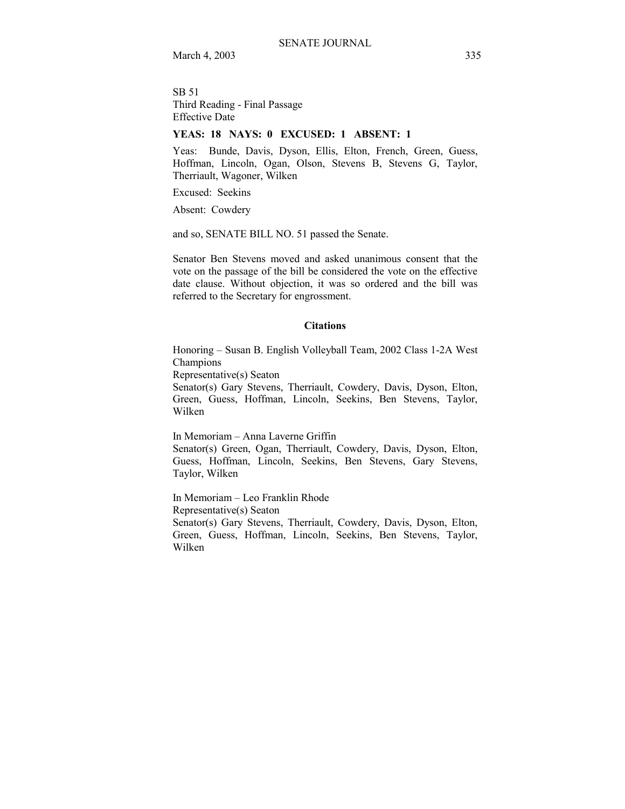SB 51 Third Reading - Final Passage Effective Date

#### **YEAS: 18 NAYS: 0 EXCUSED: 1 ABSENT: 1**

Yeas: Bunde, Davis, Dyson, Ellis, Elton, French, Green, Guess, Hoffman, Lincoln, Ogan, Olson, Stevens B, Stevens G, Taylor, Therriault, Wagoner, Wilken

Excused: Seekins

Absent: Cowdery

and so, SENATE BILL NO. 51 passed the Senate.

Senator Ben Stevens moved and asked unanimous consent that the vote on the passage of the bill be considered the vote on the effective date clause. Without objection, it was so ordered and the bill was referred to the Secretary for engrossment.

#### **Citations**

Honoring – Susan B. English Volleyball Team, 2002 Class 1-2A West Champions

Representative(s) Seaton

Senator(s) Gary Stevens, Therriault, Cowdery, Davis, Dyson, Elton, Green, Guess, Hoffman, Lincoln, Seekins, Ben Stevens, Taylor, Wilken

In Memoriam - Anna Laverne Griffin

Senator(s) Green, Ogan, Therriault, Cowdery, Davis, Dyson, Elton, Guess, Hoffman, Lincoln, Seekins, Ben Stevens, Gary Stevens, Taylor, Wilken

In Memoriam - Leo Franklin Rhode Representative(s) Seaton Senator(s) Gary Stevens, Therriault, Cowdery, Davis, Dyson, Elton, Green, Guess, Hoffman, Lincoln, Seekins, Ben Stevens, Taylor, Wilken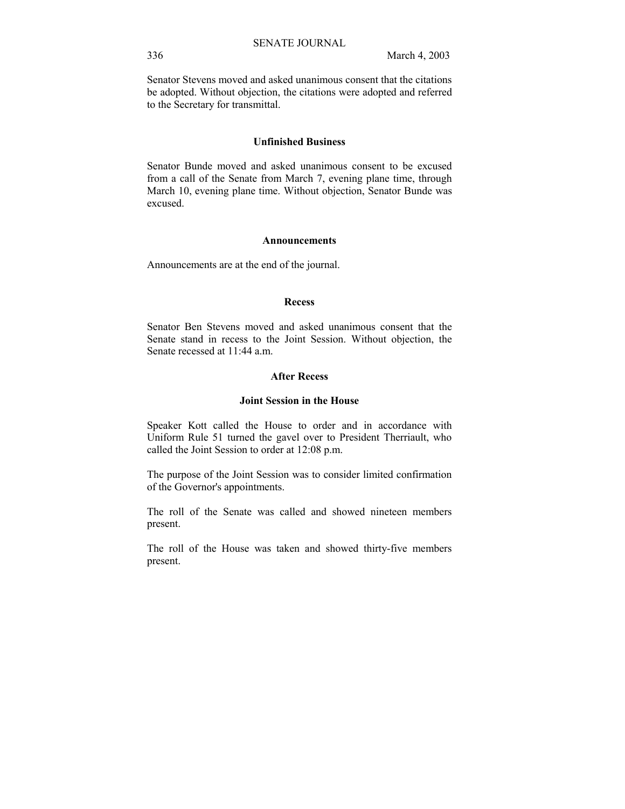Senator Stevens moved and asked unanimous consent that the citations be adopted. Without objection, the citations were adopted and referred to the Secretary for transmittal.

#### **Unfinished Business**

Senator Bunde moved and asked unanimous consent to be excused from a call of the Senate from March 7, evening plane time, through March 10, evening plane time. Without objection, Senator Bunde was excused.

#### **Announcements**

Announcements are at the end of the journal.

#### **Recess**

Senator Ben Stevens moved and asked unanimous consent that the Senate stand in recess to the Joint Session. Without objection, the Senate recessed at 11:44 a.m.

### **After Recess**

#### **Joint Session in the House**

Speaker Kott called the House to order and in accordance with Uniform Rule 51 turned the gavel over to President Therriault, who called the Joint Session to order at 12:08 p.m.

The purpose of the Joint Session was to consider limited confirmation of the Governor's appointments.

The roll of the Senate was called and showed nineteen members present.

The roll of the House was taken and showed thirty-five members present.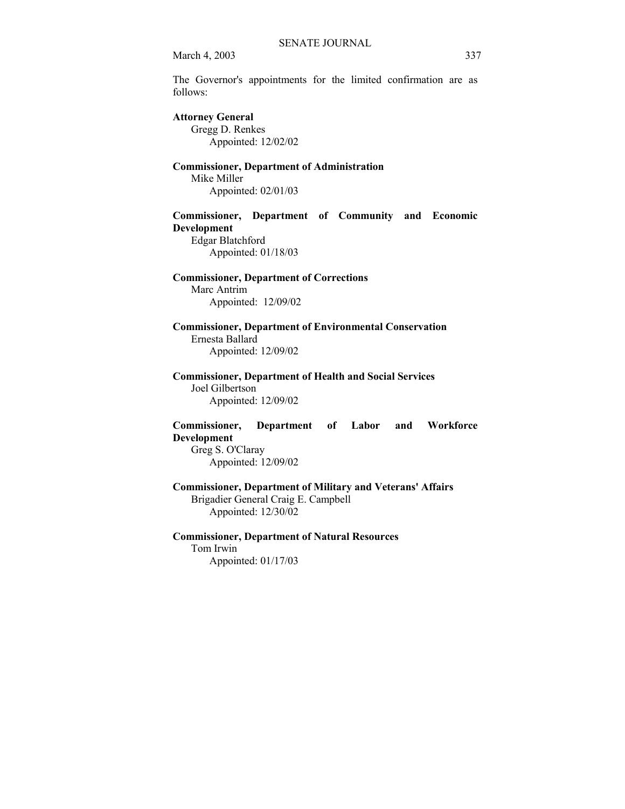The Governor's appointments for the limited confirmation are as follows:

# **Attorney General**

 Gregg D. Renkes Appointed: 12/02/02

#### **Commissioner, Department of Administration** Mike Miller

Appointed: 02/01/03

## **Commissioner, Department of Community and Economic Development**

 Edgar Blatchford Appointed: 01/18/03

## **Commissioner, Department of Corrections**  Marc Antrim

Appointed: 12/09/02

## **Commissioner, Department of Environmental Conservation**  Ernesta Ballard Appointed: 12/09/02

#### **Commissioner, Department of Health and Social Services**  Joel Gilbertson

Appointed: 12/09/02

### **Commissioner, Department of Labor and Workforce Development**

 Greg S. O'Claray Appointed: 12/09/02

## **Commissioner, Department of Military and Veterans' Affairs**  Brigadier General Craig E. Campbell

Appointed: 12/30/02

#### **Commissioner, Department of Natural Resources**

Tom Irwin

Appointed: 01/17/03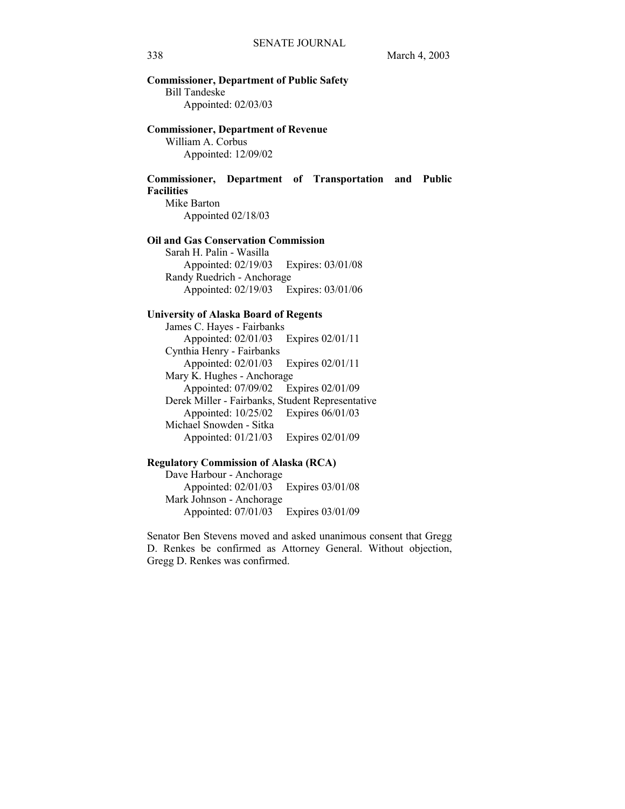## **Commissioner, Department of Public Safety**  Bill Tandeske Appointed: 02/03/03

#### **Commissioner, Department of Revenue**

 William A. Corbus Appointed: 12/09/02

### **Commissioner, Department of Transportation and Public Facilities**

 Mike Barton Appointed 02/18/03

#### **Oil and Gas Conservation Commission**

 Sarah H. Palin - Wasilla Appointed: 02/19/03 Expires: 03/01/08 Randy Ruedrich - Anchorage Appointed: 02/19/03 Expires: 03/01/06

#### **University of Alaska Board of Regents**

 James C. Hayes - Fairbanks Appointed: 02/01/03 Expires 02/01/11 Cynthia Henry - Fairbanks Appointed: 02/01/03 Expires 02/01/11 Mary K. Hughes - Anchorage Appointed: 07/09/02 Expires 02/01/09 Derek Miller - Fairbanks, Student Representative Appointed: 10/25/02 Expires 06/01/03 Michael Snowden - Sitka Appointed: 01/21/03 Expires 02/01/09

### **Regulatory Commission of Alaska (RCA)**

 Dave Harbour - Anchorage Appointed: 02/01/03 Expires 03/01/08 Mark Johnson - Anchorage Appointed: 07/01/03 Expires 03/01/09

Senator Ben Stevens moved and asked unanimous consent that Gregg D. Renkes be confirmed as Attorney General. Without objection, Gregg D. Renkes was confirmed.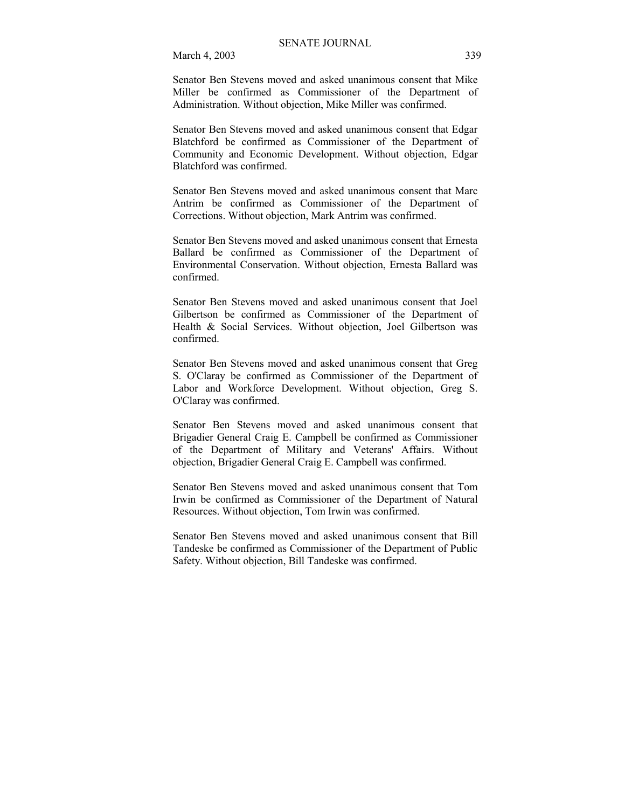Senator Ben Stevens moved and asked unanimous consent that Mike Miller be confirmed as Commissioner of the Department of Administration. Without objection, Mike Miller was confirmed.

Senator Ben Stevens moved and asked unanimous consent that Edgar Blatchford be confirmed as Commissioner of the Department of Community and Economic Development. Without objection, Edgar Blatchford was confirmed.

Senator Ben Stevens moved and asked unanimous consent that Marc Antrim be confirmed as Commissioner of the Department of Corrections. Without objection, Mark Antrim was confirmed.

Senator Ben Stevens moved and asked unanimous consent that Ernesta Ballard be confirmed as Commissioner of the Department of Environmental Conservation. Without objection, Ernesta Ballard was confirmed.

Senator Ben Stevens moved and asked unanimous consent that Joel Gilbertson be confirmed as Commissioner of the Department of Health & Social Services. Without objection, Joel Gilbertson was confirmed.

Senator Ben Stevens moved and asked unanimous consent that Greg S. O'Claray be confirmed as Commissioner of the Department of Labor and Workforce Development. Without objection, Greg S. O'Claray was confirmed.

Senator Ben Stevens moved and asked unanimous consent that Brigadier General Craig E. Campbell be confirmed as Commissioner of the Department of Military and Veterans' Affairs. Without objection, Brigadier General Craig E. Campbell was confirmed.

Senator Ben Stevens moved and asked unanimous consent that Tom Irwin be confirmed as Commissioner of the Department of Natural Resources. Without objection, Tom Irwin was confirmed.

Senator Ben Stevens moved and asked unanimous consent that Bill Tandeske be confirmed as Commissioner of the Department of Public Safety. Without objection, Bill Tandeske was confirmed.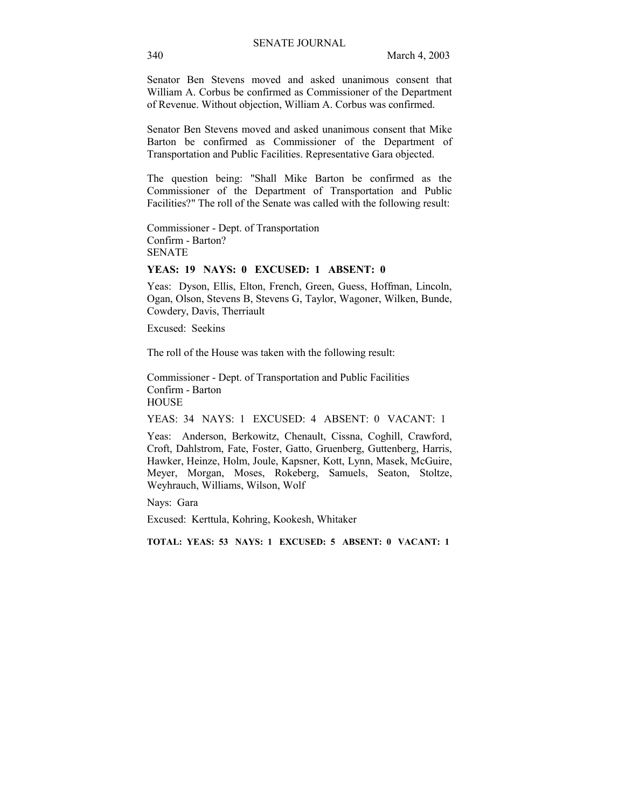Senator Ben Stevens moved and asked unanimous consent that William A. Corbus be confirmed as Commissioner of the Department of Revenue. Without objection, William A. Corbus was confirmed.

Senator Ben Stevens moved and asked unanimous consent that Mike Barton be confirmed as Commissioner of the Department of Transportation and Public Facilities. Representative Gara objected.

The question being: "Shall Mike Barton be confirmed as the Commissioner of the Department of Transportation and Public Facilities?" The roll of the Senate was called with the following result:

Commissioner - Dept. of Transportation Confirm - Barton? SENATE

#### **YEAS: 19 NAYS: 0 EXCUSED: 1 ABSENT: 0**

Yeas: Dyson, Ellis, Elton, French, Green, Guess, Hoffman, Lincoln, Ogan, Olson, Stevens B, Stevens G, Taylor, Wagoner, Wilken, Bunde, Cowdery, Davis, Therriault

Excused: Seekins

The roll of the House was taken with the following result:

Commissioner - Dept. of Transportation and Public Facilities Confirm - Barton **HOUSE** 

YEAS: 34 NAYS: 1 EXCUSED: 4 ABSENT: 0 VACANT: 1

Yeas: Anderson, Berkowitz, Chenault, Cissna, Coghill, Crawford, Croft, Dahlstrom, Fate, Foster, Gatto, Gruenberg, Guttenberg, Harris, Hawker, Heinze, Holm, Joule, Kapsner, Kott, Lynn, Masek, McGuire, Meyer, Morgan, Moses, Rokeberg, Samuels, Seaton, Stoltze, Weyhrauch, Williams, Wilson, Wolf

Nays: Gara

Excused: Kerttula, Kohring, Kookesh, Whitaker

**TOTAL: YEAS: 53 NAYS: 1 EXCUSED: 5 ABSENT: 0 VACANT: 1**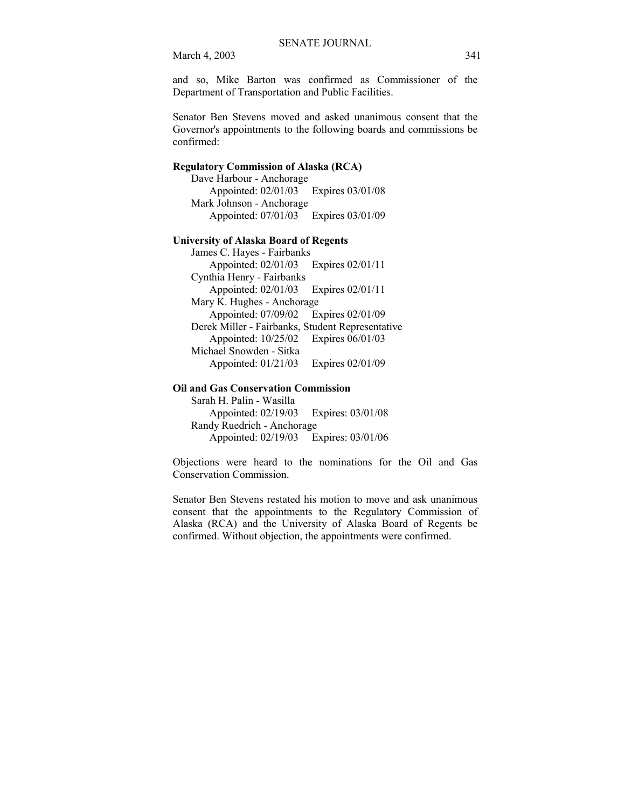and so, Mike Barton was confirmed as Commissioner of the Department of Transportation and Public Facilities.

Senator Ben Stevens moved and asked unanimous consent that the Governor's appointments to the following boards and commissions be confirmed:

#### **Regulatory Commission of Alaska (RCA)**

 Dave Harbour - Anchorage Appointed: 02/01/03 Expires 03/01/08 Mark Johnson - Anchorage Appointed: 07/01/03 Expires 03/01/09

#### **University of Alaska Board of Regents**

 James C. Hayes - Fairbanks Appointed: 02/01/03 Expires 02/01/11 Cynthia Henry - Fairbanks Appointed: 02/01/03 Expires 02/01/11 Mary K. Hughes - Anchorage Appointed: 07/09/02 Expires 02/01/09 Derek Miller - Fairbanks, Student Representative Appointed: 10/25/02 Expires 06/01/03 Michael Snowden - Sitka Appointed: 01/21/03 Expires 02/01/09

#### **Oil and Gas Conservation Commission**

 Sarah H. Palin - Wasilla Appointed: 02/19/03 Expires: 03/01/08 Randy Ruedrich - Anchorage Appointed: 02/19/03 Expires: 03/01/06

Objections were heard to the nominations for the Oil and Gas Conservation Commission.

Senator Ben Stevens restated his motion to move and ask unanimous consent that the appointments to the Regulatory Commission of Alaska (RCA) and the University of Alaska Board of Regents be confirmed. Without objection, the appointments were confirmed.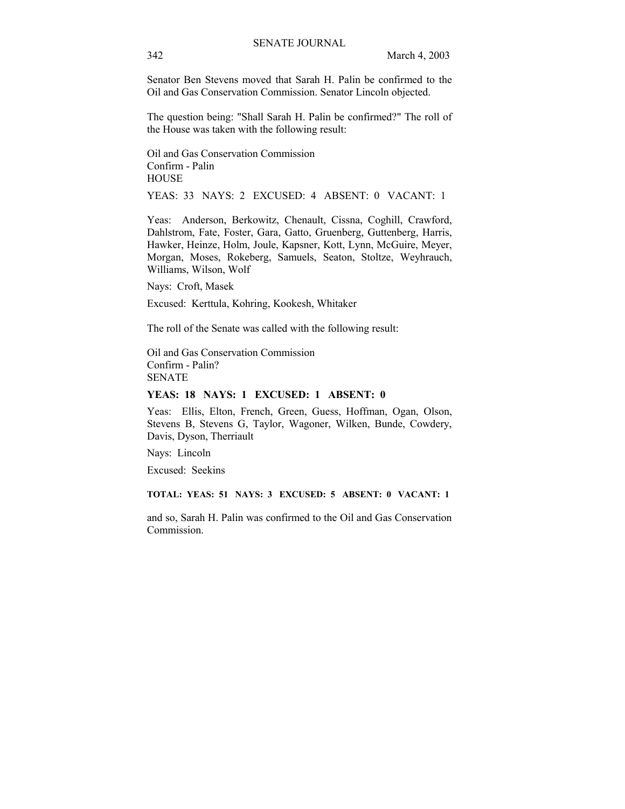Senator Ben Stevens moved that Sarah H. Palin be confirmed to the Oil and Gas Conservation Commission. Senator Lincoln objected.

The question being: "Shall Sarah H. Palin be confirmed?" The roll of the House was taken with the following result:

Oil and Gas Conservation Commission Confirm - Palin **HOUSE** 

YEAS: 33 NAYS: 2 EXCUSED: 4 ABSENT: 0 VACANT: 1

Yeas: Anderson, Berkowitz, Chenault, Cissna, Coghill, Crawford, Dahlstrom, Fate, Foster, Gara, Gatto, Gruenberg, Guttenberg, Harris, Hawker, Heinze, Holm, Joule, Kapsner, Kott, Lynn, McGuire, Meyer, Morgan, Moses, Rokeberg, Samuels, Seaton, Stoltze, Weyhrauch, Williams, Wilson, Wolf

Nays: Croft, Masek

Excused: Kerttula, Kohring, Kookesh, Whitaker

The roll of the Senate was called with the following result:

Oil and Gas Conservation Commission Confirm - Palin? **SENATE** 

#### **YEAS: 18 NAYS: 1 EXCUSED: 1 ABSENT: 0**

Yeas: Ellis, Elton, French, Green, Guess, Hoffman, Ogan, Olson, Stevens B, Stevens G, Taylor, Wagoner, Wilken, Bunde, Cowdery, Davis, Dyson, Therriault

Nays: Lincoln

Excused: Seekins

**TOTAL: YEAS: 51 NAYS: 3 EXCUSED: 5 ABSENT: 0 VACANT: 1**

and so, Sarah H. Palin was confirmed to the Oil and Gas Conservation Commission.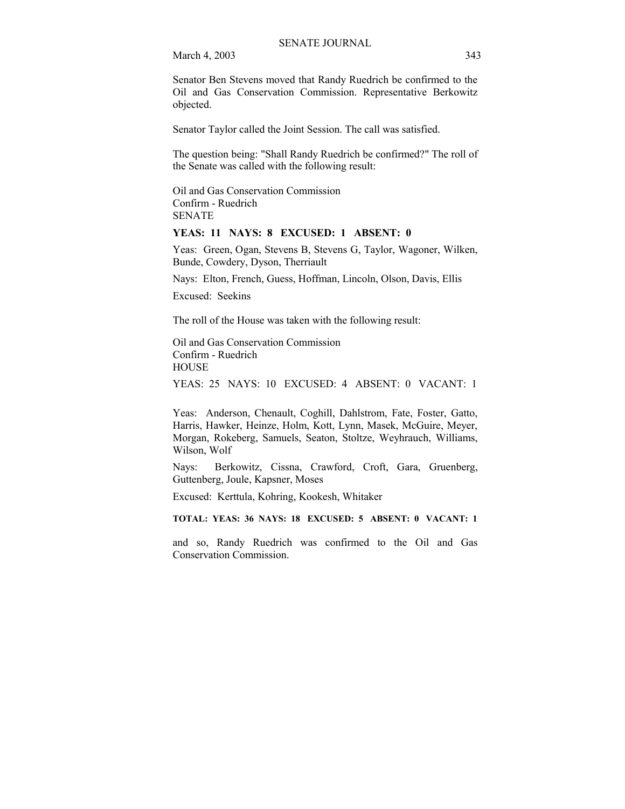Senator Ben Stevens moved that Randy Ruedrich be confirmed to the Oil and Gas Conservation Commission. Representative Berkowitz objected.

Senator Taylor called the Joint Session. The call was satisfied.

The question being: "Shall Randy Ruedrich be confirmed?" The roll of the Senate was called with the following result:

Oil and Gas Conservation Commission Confirm - Ruedrich SENATE

#### **YEAS: 11 NAYS: 8 EXCUSED: 1 ABSENT: 0**

Yeas: Green, Ogan, Stevens B, Stevens G, Taylor, Wagoner, Wilken, Bunde, Cowdery, Dyson, Therriault

Nays: Elton, French, Guess, Hoffman, Lincoln, Olson, Davis, Ellis

Excused: Seekins

The roll of the House was taken with the following result:

Oil and Gas Conservation Commission Confirm - Ruedrich **HOUSE** 

YEAS: 25 NAYS: 10 EXCUSED: 4 ABSENT: 0 VACANT: 1

Yeas: Anderson, Chenault, Coghill, Dahlstrom, Fate, Foster, Gatto, Harris, Hawker, Heinze, Holm, Kott, Lynn, Masek, McGuire, Meyer, Morgan, Rokeberg, Samuels, Seaton, Stoltze, Weyhrauch, Williams, Wilson, Wolf

Nays: Berkowitz, Cissna, Crawford, Croft, Gara, Gruenberg, Guttenberg, Joule, Kapsner, Moses

Excused: Kerttula, Kohring, Kookesh, Whitaker

**TOTAL: YEAS: 36 NAYS: 18 EXCUSED: 5 ABSENT: 0 VACANT: 1** 

and so, Randy Ruedrich was confirmed to the Oil and Gas Conservation Commission.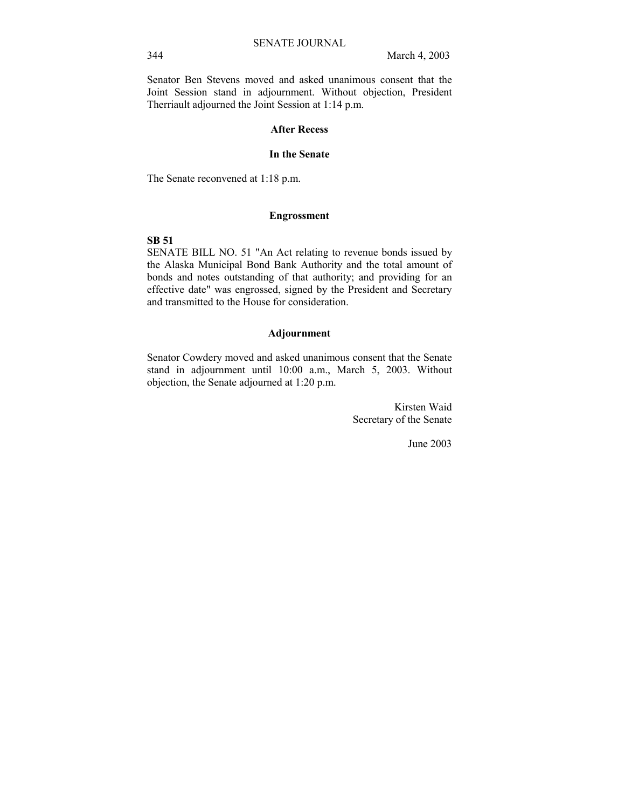Senator Ben Stevens moved and asked unanimous consent that the Joint Session stand in adjournment. Without objection, President Therriault adjourned the Joint Session at 1:14 p.m.

#### **After Recess**

#### **In the Senate**

The Senate reconvened at 1:18 p.m.

#### **Engrossment**

#### **SB 51**

SENATE BILL NO. 51 "An Act relating to revenue bonds issued by the Alaska Municipal Bond Bank Authority and the total amount of bonds and notes outstanding of that authority; and providing for an effective date" was engrossed, signed by the President and Secretary and transmitted to the House for consideration.

#### **Adjournment**

Senator Cowdery moved and asked unanimous consent that the Senate stand in adjournment until 10:00 a.m., March 5, 2003. Without objection, the Senate adjourned at 1:20 p.m.

> Kirsten Waid Secretary of the Senate

> > June 2003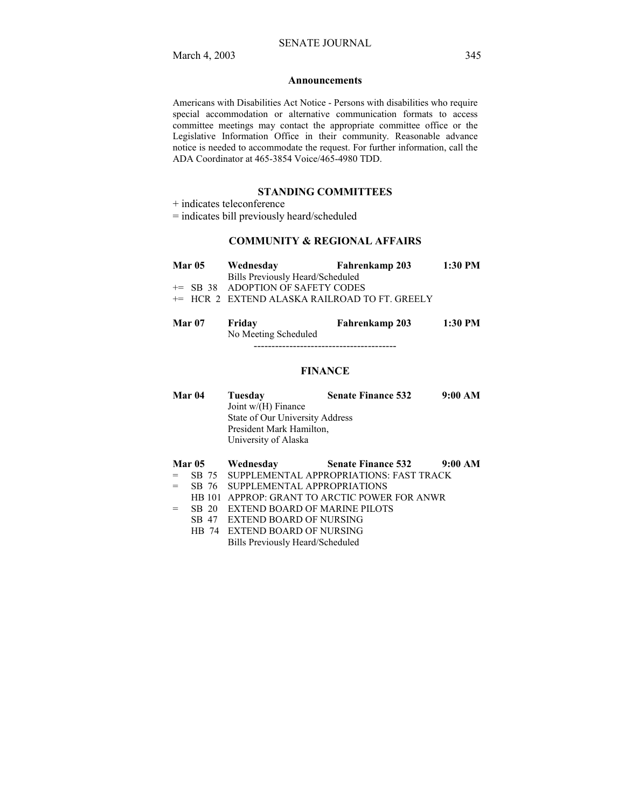#### **Announcements**

Americans with Disabilities Act Notice - Persons with disabilities who require special accommodation or alternative communication formats to access committee meetings may contact the appropriate committee office or the Legislative Information Office in their community. Reasonable advance notice is needed to accommodate the request. For further information, call the ADA Coordinator at 465-3854 Voice/465-4980 TDD.

#### **STANDING COMMITTEES**

+ indicates teleconference

= indicates bill previously heard/scheduled

#### **COMMUNITY & REGIONAL AFFAIRS**

| <b>Mar 05</b> | Wednesday                                                | <b>Fahrenkamp 203</b> | 1:30 PM |
|---------------|----------------------------------------------------------|-----------------------|---------|
|               | Bills Previously Heard/Scheduled                         |                       |         |
|               | $+=$ SB 38 ADOPTION OF SAFETY CODES                      |                       |         |
|               | <sup>+=</sup> HCR 2 EXTEND ALASKA RAILROAD TO FT. GREELY |                       |         |
|               |                                                          |                       |         |

| <b>Mar 07</b> | Fridav               | Fahrenkamp 203 | 1:30 PM |
|---------------|----------------------|----------------|---------|
|               | No Meeting Scheduled |                |         |
|               |                      |                |         |

#### **FINANCE**

| Mar 04 | Tuesday                         | <b>Senate Finance 532</b> | 9:00 AM |  |  |
|--------|---------------------------------|---------------------------|---------|--|--|
|        | Joint $w/(H)$ Finance           |                           |         |  |  |
|        | State of Our University Address |                           |         |  |  |
|        | President Mark Hamilton,        |                           |         |  |  |
|        | University of Alaska            |                           |         |  |  |
|        |                                 |                           |         |  |  |

#### **Mar 05 Wednesday Senate Finance 532 9:00 AM**

- = SB 75 SUPPLEMENTAL APPROPRIATIONS: FAST TRACK
- = SB 76 SUPPLEMENTAL APPROPRIATIONS
- HB 101 APPROP: GRANT TO ARCTIC POWER FOR ANWR
- = SB 20 EXTEND BOARD OF MARINE PILOTS
	- SB 47 EXTEND BOARD OF NURSING
	- HB 74 EXTEND BOARD OF NURSING

Bills Previously Heard/Scheduled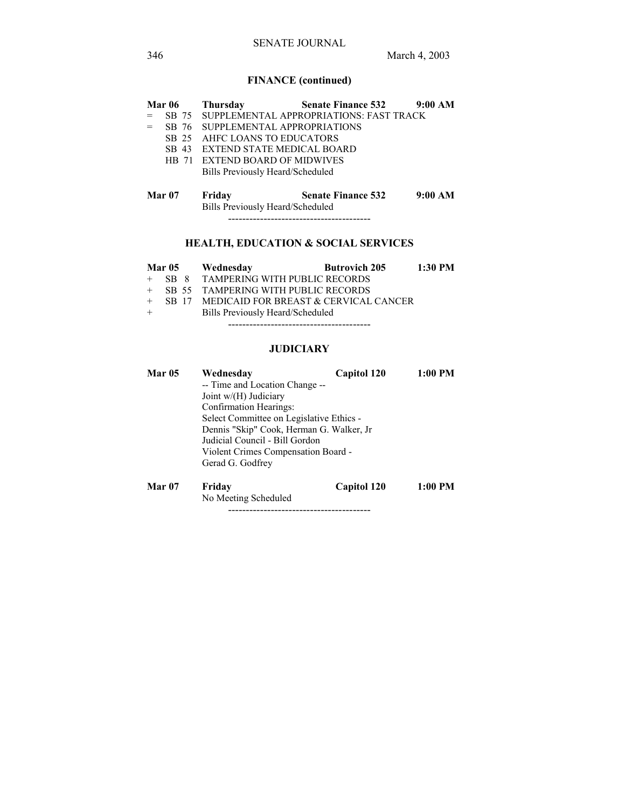# **FINANCE (continued)**

| <b>Mar 06</b>     | <b>Thursday</b>                            | <b>Senate Finance 532</b>                     | 9:00 AM |
|-------------------|--------------------------------------------|-----------------------------------------------|---------|
|                   |                                            | SB 75 SUPPLEMENTAL APPROPRIATIONS: FAST TRACK |         |
| SB 76             | SUPPLEMENTAL APPROPRIATIONS                |                                               |         |
| SB 25             | AHEC LOANS TO EDUCATORS                    |                                               |         |
| SB 43             | <b>EXTEND STATE MEDICAL BOARD</b>          |                                               |         |
| HB 71             | EXTEND BOARD OF MIDWIVES                   |                                               |         |
|                   | Bills Previously Heard/Scheduled           |                                               |         |
| Mar <sub>07</sub> | Friday<br>Bills Previously Heard/Scheduled | <b>Senate Finance 532</b>                     | 9:00 AM |

# **HEALTH, EDUCATION & SOCIAL SERVICES**

|     |  | Mar 05 Wednesday                            | <b>Butrovich 205</b> | $1:30$ PM |
|-----|--|---------------------------------------------|----------------------|-----------|
|     |  | + SB 8 TAMPERING WITH PUBLIC RECORDS        |                      |           |
|     |  | + SB 55 TAMPERING WITH PUBLIC RECORDS       |                      |           |
| $+$ |  | SB 17 MEDICAID FOR BREAST & CERVICAL CANCER |                      |           |
| $+$ |  | Bills Previously Heard/Scheduled            |                      |           |
|     |  |                                             |                      |           |

## **JUDICIARY**

| <b>Mar 05</b> | Wednesdav                                | Capitol 120 | 1:00 PM   |  |  |
|---------------|------------------------------------------|-------------|-----------|--|--|
|               | -- Time and Location Change --           |             |           |  |  |
|               | Joint $w/(H)$ Judiciary                  |             |           |  |  |
|               | Confirmation Hearings:                   |             |           |  |  |
|               | Select Committee on Legislative Ethics - |             |           |  |  |
|               | Dennis "Skip" Cook, Herman G. Walker, Jr |             |           |  |  |
|               | Judicial Council - Bill Gordon           |             |           |  |  |
|               | Violent Crimes Compensation Board -      |             |           |  |  |
|               | Gerad G. Godfrey                         |             |           |  |  |
| <b>Mar 07</b> | Friday                                   | Capitol 120 | $1:00$ PM |  |  |
|               | No Meeting Scheduled                     |             |           |  |  |

----------------------------------------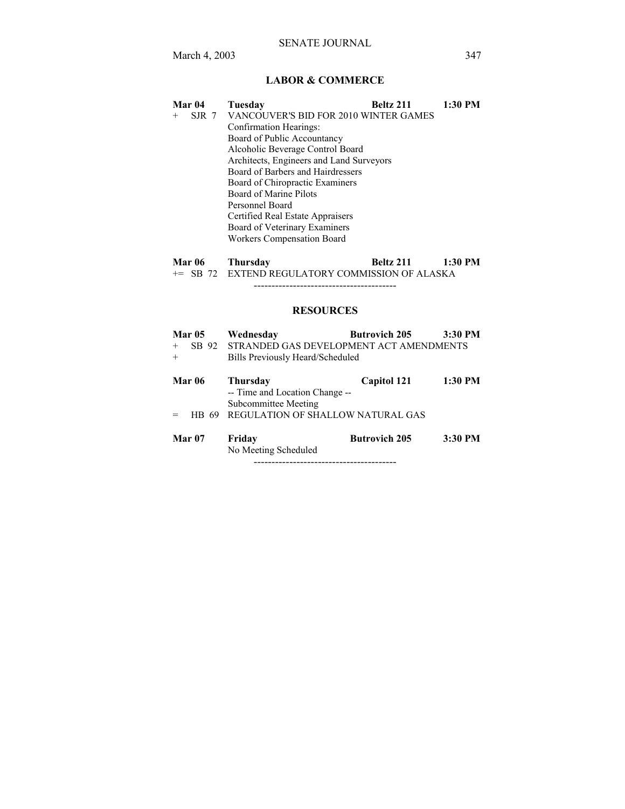## **LABOR & COMMERCE**

| Mar 04                                   | Tuesday                                     | Beltz 211 | 1:30 PM |  |  |
|------------------------------------------|---------------------------------------------|-----------|---------|--|--|
| $^{+}$                                   | SJR 7 VANCOUVER'S BID FOR 2010 WINTER GAMES |           |         |  |  |
|                                          | Confirmation Hearings:                      |           |         |  |  |
|                                          | Board of Public Accountancy                 |           |         |  |  |
|                                          | Alcoholic Beverage Control Board            |           |         |  |  |
| Architects, Engineers and Land Surveyors |                                             |           |         |  |  |
|                                          | Board of Barbers and Hairdressers           |           |         |  |  |
|                                          | Board of Chiropractic Examiners             |           |         |  |  |
|                                          | Board of Marine Pilots                      |           |         |  |  |
|                                          | Personnel Board                             |           |         |  |  |
|                                          | Certified Real Estate Appraisers            |           |         |  |  |
|                                          | Board of Veterinary Examiners               |           |         |  |  |
|                                          | <b>Workers Compensation Board</b>           |           |         |  |  |
|                                          |                                             |           |         |  |  |

| <b>Mar 06</b> | Thursday | Beltz 211                                                  | $1:30$ PM |
|---------------|----------|------------------------------------------------------------|-----------|
|               |          | <sup>+=</sup> SB 72 EXTEND REGULATORY COMMISSION OF ALASKA |           |

----------------------------------------

## **RESOURCES**

|        | <b>Mar 05</b> | Wednesday                                     | <b>Butrovich 205</b> | 3:30 PM |
|--------|---------------|-----------------------------------------------|----------------------|---------|
| $^{+}$ |               | SB 92 STRANDED GAS DEVELOPMENT ACT AMENDMENTS |                      |         |
| $+$    |               | Bills Previously Heard/Scheduled              |                      |         |
|        | Mar 06        | <b>Thursday</b>                               | Capitol 121          | 1:30 PM |
|        |               | -- Time and Location Change --                |                      |         |
|        |               | Subcommittee Meeting                          |                      |         |
|        | 69<br>HB.     | REGULATION OF SHALLOW NATURAL GAS             |                      |         |
|        | <b>Mar 07</b> | Friday                                        | <b>Butrovich 205</b> | 3:30 PM |
|        |               | No Meeting Scheduled                          |                      |         |

----------------------------------------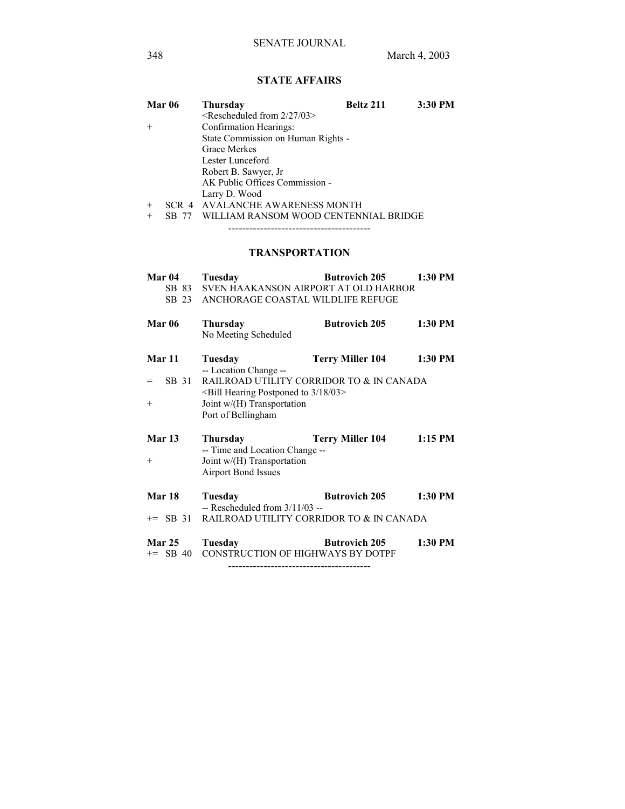## **STATE AFFAIRS**

| <b>Mar 06</b> |       | <b>Thursday</b>                       | Beltz 211 | 3:30 PM |
|---------------|-------|---------------------------------------|-----------|---------|
|               |       | $\leq$ Rescheduled from 2/27/03>      |           |         |
| $+$           |       | Confirmation Hearings:                |           |         |
|               |       | State Commission on Human Rights -    |           |         |
|               |       | Grace Merkes                          |           |         |
|               |       | Lester Lunceford                      |           |         |
|               |       | Robert B. Sawyer, Jr.                 |           |         |
|               |       | AK Public Offices Commission -        |           |         |
|               |       | Larry D. Wood                         |           |         |
| $+$           |       | SCR 4 AVALANCHE AWARENESS MONTH       |           |         |
| $^{+}$        | SB 77 | WILLIAM RANSOM WOOD CENTENNIAL BRIDGE |           |         |

----------------------------------------

## **TRANSPORTATION**

| Mar 04                       | Tuesday<br>SB 83 SVEN HAAKANSON AIRPORT AT OLD HARBOR<br>SB 23 ANCHORAGE COASTAL WILDLIFE REFUGE                   | <b>Butrovich 205</b> 1:30 PM                                 |         |
|------------------------------|--------------------------------------------------------------------------------------------------------------------|--------------------------------------------------------------|---------|
| <b>Mar 06</b>                | <b>Thursday</b><br>No Meeting Scheduled                                                                            | <b>Butrovich 205</b>                                         | 1:30 PM |
| Mar 11<br>SB 31<br>$=$       | Tuesday<br>-- Location Change --                                                                                   | Terry Miller 104<br>RAILROAD UTILITY CORRIDOR TO & IN CANADA | 1:30 PM |
| $^{+}$                       | <bill 03="" 18="" 3="" hearing="" postponed="" to=""><br/>Joint w/(H) Transportation<br/>Port of Bellingham</bill> |                                                              |         |
| <b>Mar 13</b><br>$+$         | <b>Thursday</b><br>-- Time and Location Change --<br>Joint w/(H) Transportation<br><b>Airport Bond Issues</b>      | <b>Terry Miller 104</b>                                      | 1:15 PM |
| Mar 18                       | Tuesday<br>$-$ Rescheduled from $3/11/03 -$                                                                        | <b>Butrovich 205</b>                                         | 1:30 PM |
| Mar 25 Tuesday<br>$+=$ SB 40 | += SB 31 RAILROAD UTILITY CORRIDOR TO & IN CANADA<br><b>CONSTRUCTION OF HIGHWAYS BY DOTPF</b>                      | <b>Example 19 State Butrovich 205</b>                        | 1:30 PM |
|                              |                                                                                                                    |                                                              |         |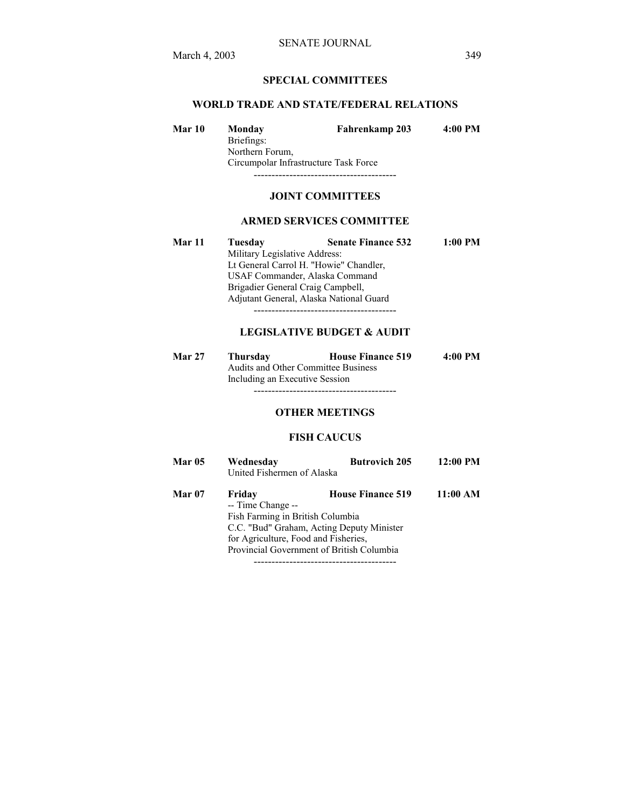## **SPECIAL COMMITTEES**

#### **WORLD TRADE AND STATE/FEDERAL RELATIONS**

| Mar 10 | Monday                                | Fahrenkamp 203 | 4:00 PM |  |  |
|--------|---------------------------------------|----------------|---------|--|--|
|        | Briefings:                            |                |         |  |  |
|        | Northern Forum,                       |                |         |  |  |
|        | Circumpolar Infrastructure Task Force |                |         |  |  |
|        |                                       |                |         |  |  |

#### **JOINT COMMITTEES**

#### **ARMED SERVICES COMMITTEE**

**Mar 11 Tuesday Senate Finance 532 1:00 PM**  Military Legislative Address: Lt General Carrol H. "Howie" Chandler, USAF Commander, Alaska Command Brigadier General Craig Campbell, Adjutant General, Alaska National Guard ----------------------------------------

#### **LEGISLATIVE BUDGET & AUDIT**

| <b>Mar 27</b> | <b>Thursday</b>                            | <b>House Finance 519</b> | 4:00 PM |
|---------------|--------------------------------------------|--------------------------|---------|
|               | <b>Audits and Other Committee Business</b> |                          |         |
|               | Including an Executive Session             |                          |         |
|               |                                            |                          |         |

#### **OTHER MEETINGS**

#### **FISH CAUCUS**

| <b>Mar 05</b> | Wednesday<br>United Fishermen of Alaska                                                                 | <b>Butrovich 205</b>                                                                                               | 12:00 PM |
|---------------|---------------------------------------------------------------------------------------------------------|--------------------------------------------------------------------------------------------------------------------|----------|
| <b>Mar 07</b> | Friday<br>-- Time Change --<br>Fish Farming in British Columbia<br>for Agriculture, Food and Fisheries, | <b>House Finance 519</b><br>C.C. "Bud" Graham, Acting Deputy Minister<br>Provincial Government of British Columbia | 11:00 AM |